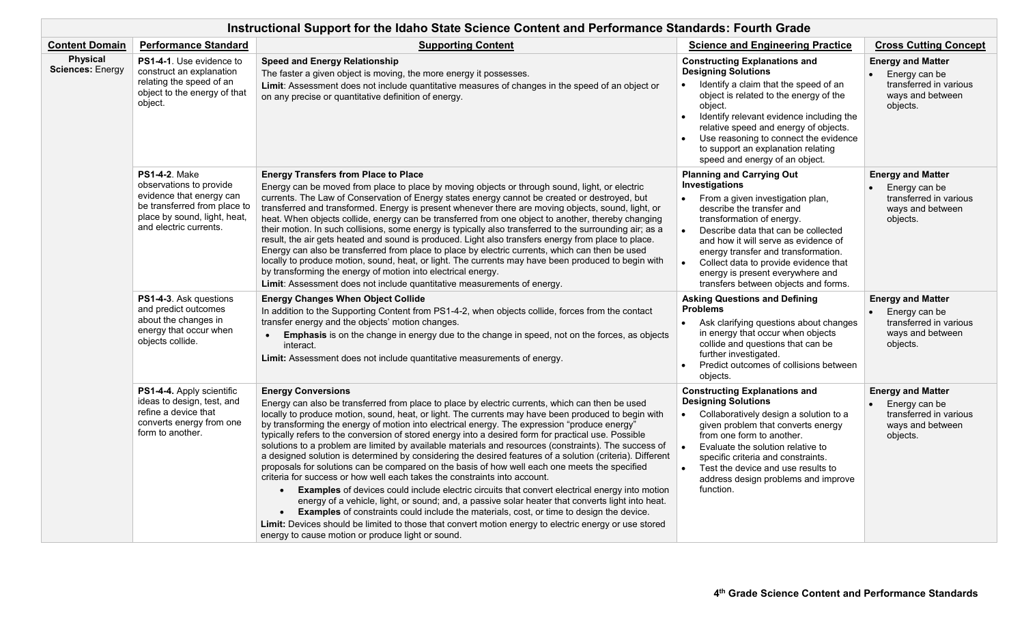|                                            | Instructional Support for the Idaho State Science Content and Performance Standards: Fourth Grade                                                                     |                                                                                                                                                                                                                                                                                                                                                                                                                                                                                                                                                                                                                                                                                                                                                                                                                                                                                                                                                                                                                                                                                                                                                                                                                                                                                                                                           |                                                                                                                                                                                                                                                                                                                                                                                                                       |                                                                                                     |  |
|--------------------------------------------|-----------------------------------------------------------------------------------------------------------------------------------------------------------------------|-------------------------------------------------------------------------------------------------------------------------------------------------------------------------------------------------------------------------------------------------------------------------------------------------------------------------------------------------------------------------------------------------------------------------------------------------------------------------------------------------------------------------------------------------------------------------------------------------------------------------------------------------------------------------------------------------------------------------------------------------------------------------------------------------------------------------------------------------------------------------------------------------------------------------------------------------------------------------------------------------------------------------------------------------------------------------------------------------------------------------------------------------------------------------------------------------------------------------------------------------------------------------------------------------------------------------------------------|-----------------------------------------------------------------------------------------------------------------------------------------------------------------------------------------------------------------------------------------------------------------------------------------------------------------------------------------------------------------------------------------------------------------------|-----------------------------------------------------------------------------------------------------|--|
| <b>Content Domain</b>                      | <b>Performance Standard</b>                                                                                                                                           | <b>Supporting Content</b>                                                                                                                                                                                                                                                                                                                                                                                                                                                                                                                                                                                                                                                                                                                                                                                                                                                                                                                                                                                                                                                                                                                                                                                                                                                                                                                 | <b>Science and Engineering Practice</b>                                                                                                                                                                                                                                                                                                                                                                               | <b>Cross Cutting Concept</b>                                                                        |  |
| <b>Physical</b><br><b>Sciences: Energy</b> | <b>PS1-4-1.</b> Use evidence to<br>construct an explanation<br>relating the speed of an<br>object to the energy of that<br>object.                                    | <b>Speed and Energy Relationship</b><br>The faster a given object is moving, the more energy it possesses.<br>Limit: Assessment does not include quantitative measures of changes in the speed of an object or<br>on any precise or quantitative definition of energy.                                                                                                                                                                                                                                                                                                                                                                                                                                                                                                                                                                                                                                                                                                                                                                                                                                                                                                                                                                                                                                                                    | <b>Constructing Explanations and</b><br><b>Designing Solutions</b><br>Identify a claim that the speed of an<br>object is related to the energy of the<br>object.<br>Identify relevant evidence including the<br>$\bullet$<br>relative speed and energy of objects.<br>Use reasoning to connect the evidence<br>to support an explanation relating<br>speed and energy of an object.                                   | <b>Energy and Matter</b><br>Energy can be<br>transferred in various<br>ways and between<br>objects. |  |
|                                            | <b>PS1-4-2. Make</b><br>observations to provide<br>evidence that energy can<br>be transferred from place to<br>place by sound, light, heat,<br>and electric currents. | <b>Energy Transfers from Place to Place</b><br>Energy can be moved from place to place by moving objects or through sound, light, or electric<br>currents. The Law of Conservation of Energy states energy cannot be created or destroyed, but<br>transferred and transformed. Energy is present whenever there are moving objects, sound, light, or<br>heat. When objects collide, energy can be transferred from one object to another, thereby changing<br>their motion. In such collisions, some energy is typically also transferred to the surrounding air; as a<br>result, the air gets heated and sound is produced. Light also transfers energy from place to place.<br>Energy can also be transferred from place to place by electric currents, which can then be used<br>locally to produce motion, sound, heat, or light. The currents may have been produced to begin with<br>by transforming the energy of motion into electrical energy.<br>Limit: Assessment does not include quantitative measurements of energy.                                                                                                                                                                                                                                                                                                        | <b>Planning and Carrying Out</b><br>Investigations<br>From a given investigation plan,<br>$\bullet$<br>describe the transfer and<br>transformation of energy.<br>Describe data that can be collected<br>$\bullet$<br>and how it will serve as evidence of<br>energy transfer and transformation.<br>Collect data to provide evidence that<br>energy is present everywhere and<br>transfers between objects and forms. | <b>Energy and Matter</b><br>Energy can be<br>transferred in various<br>ways and between<br>objects. |  |
|                                            | PS1-4-3. Ask questions<br>and predict outcomes<br>about the changes in<br>energy that occur when<br>objects collide.                                                  | <b>Energy Changes When Object Collide</b><br>In addition to the Supporting Content from PS1-4-2, when objects collide, forces from the contact<br>transfer energy and the objects' motion changes.<br>Emphasis is on the change in energy due to the change in speed, not on the forces, as objects<br>$\bullet$<br>interact.<br>Limit: Assessment does not include quantitative measurements of energy.                                                                                                                                                                                                                                                                                                                                                                                                                                                                                                                                                                                                                                                                                                                                                                                                                                                                                                                                  | <b>Asking Questions and Defining</b><br><b>Problems</b><br>Ask clarifying questions about changes<br>$\bullet$<br>in energy that occur when objects<br>collide and questions that can be<br>further investigated.<br>Predict outcomes of collisions between<br>objects.                                                                                                                                               | <b>Energy and Matter</b><br>Energy can be<br>transferred in various<br>ways and between<br>objects. |  |
|                                            | PS1-4-4. Apply scientific<br>ideas to design, test, and<br>refine a device that<br>converts energy from one<br>form to another.                                       | <b>Energy Conversions</b><br>Energy can also be transferred from place to place by electric currents, which can then be used<br>locally to produce motion, sound, heat, or light. The currents may have been produced to begin with<br>by transforming the energy of motion into electrical energy. The expression "produce energy"<br>typically refers to the conversion of stored energy into a desired form for practical use. Possible<br>solutions to a problem are limited by available materials and resources (constraints). The success of<br>a designed solution is determined by considering the desired features of a solution (criteria). Different<br>proposals for solutions can be compared on the basis of how well each one meets the specified<br>criteria for success or how well each takes the constraints into account.<br><b>Examples</b> of devices could include electric circuits that convert electrical energy into motion<br>energy of a vehicle, light, or sound; and, a passive solar heater that converts light into heat.<br><b>Examples</b> of constraints could include the materials, cost, or time to design the device.<br>$\bullet$<br>Limit: Devices should be limited to those that convert motion energy to electric energy or use stored<br>energy to cause motion or produce light or sound. | <b>Constructing Explanations and</b><br><b>Designing Solutions</b><br>Collaboratively design a solution to a<br>$\bullet$<br>given problem that converts energy<br>from one form to another.<br>Evaluate the solution relative to<br>$\bullet$<br>specific criteria and constraints.<br>Test the device and use results to<br>$\bullet$<br>address design problems and improve<br>function.                           | <b>Energy and Matter</b><br>Energy can be<br>transferred in various<br>ways and between<br>objects. |  |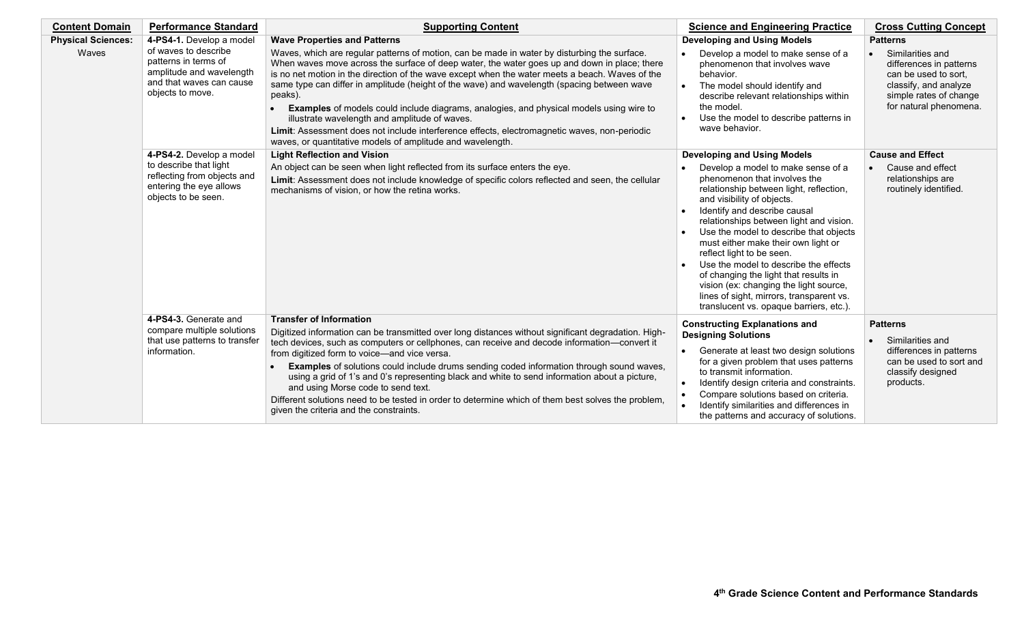| <b>Content Domain</b>              | <b>Performance Standard</b>                                                                                                                          | <b>Supporting Content</b>                                                                                                                                                                                                                                                                                                                                                                                                                                                                                                                                                                                                                                                                                                                                  | <b>Science and Engineering Practice</b>                                                                                                                                                                                                                                                                                                                                                                                                                                                                                                                                                       | <b>Cross Cutting Concept</b>                                                                                                                                        |
|------------------------------------|------------------------------------------------------------------------------------------------------------------------------------------------------|------------------------------------------------------------------------------------------------------------------------------------------------------------------------------------------------------------------------------------------------------------------------------------------------------------------------------------------------------------------------------------------------------------------------------------------------------------------------------------------------------------------------------------------------------------------------------------------------------------------------------------------------------------------------------------------------------------------------------------------------------------|-----------------------------------------------------------------------------------------------------------------------------------------------------------------------------------------------------------------------------------------------------------------------------------------------------------------------------------------------------------------------------------------------------------------------------------------------------------------------------------------------------------------------------------------------------------------------------------------------|---------------------------------------------------------------------------------------------------------------------------------------------------------------------|
| <b>Physical Sciences:</b><br>Waves | 4-PS4-1. Develop a model<br>of waves to describe<br>patterns in terms of<br>amplitude and wavelength<br>and that waves can cause<br>objects to move. | <b>Wave Properties and Patterns</b><br>Waves, which are regular patterns of motion, can be made in water by disturbing the surface.<br>When waves move across the surface of deep water, the water goes up and down in place; there<br>is no net motion in the direction of the wave except when the water meets a beach. Waves of the<br>same type can differ in amplitude (height of the wave) and wavelength (spacing between wave<br>peaks).<br>Examples of models could include diagrams, analogies, and physical models using wire to<br>illustrate wavelength and amplitude of waves.<br>Limit: Assessment does not include interference effects, electromagnetic waves, non-periodic<br>waves, or quantitative models of amplitude and wavelength. | <b>Developing and Using Models</b><br>Develop a model to make sense of a<br>phenomenon that involves wave<br>behavior.<br>The model should identify and<br>$\bullet$<br>describe relevant relationships within<br>the model.<br>Use the model to describe patterns in<br>wave behavior.                                                                                                                                                                                                                                                                                                       | <b>Patterns</b><br>Similarities and<br>differences in patterns<br>can be used to sort.<br>classify, and analyze<br>simple rates of change<br>for natural phenomena. |
|                                    | 4-PS4-2. Develop a model<br>to describe that light<br>reflecting from objects and<br>entering the eye allows<br>objects to be seen.                  | <b>Light Reflection and Vision</b><br>An object can be seen when light reflected from its surface enters the eye.<br>Limit: Assessment does not include knowledge of specific colors reflected and seen, the cellular<br>mechanisms of vision, or how the retina works.                                                                                                                                                                                                                                                                                                                                                                                                                                                                                    | <b>Developing and Using Models</b><br>Develop a model to make sense of a<br>phenomenon that involves the<br>relationship between light, reflection,<br>and visibility of objects.<br>Identify and describe causal<br>relationships between light and vision.<br>Use the model to describe that objects<br>must either make their own light or<br>reflect light to be seen.<br>Use the model to describe the effects<br>of changing the light that results in<br>vision (ex: changing the light source,<br>lines of sight, mirrors, transparent vs.<br>translucent vs. opaque barriers, etc.). | <b>Cause and Effect</b><br>Cause and effect<br>relationships are<br>routinely identified.                                                                           |
|                                    | 4-PS4-3. Generate and<br>compare multiple solutions<br>that use patterns to transfer<br>information.                                                 | <b>Transfer of Information</b><br>Digitized information can be transmitted over long distances without significant degradation. High-<br>tech devices, such as computers or cellphones, can receive and decode information-convert it<br>from digitized form to voice-and vice versa.<br>Examples of solutions could include drums sending coded information through sound waves,<br>using a grid of 1's and 0's representing black and white to send information about a picture,<br>and using Morse code to send text.<br>Different solutions need to be tested in order to determine which of them best solves the problem,<br>given the criteria and the constraints.                                                                                  | <b>Constructing Explanations and</b><br><b>Designing Solutions</b><br>Generate at least two design solutions<br>for a given problem that uses patterns<br>to transmit information.<br>Identify design criteria and constraints.<br>Compare solutions based on criteria.<br>$\bullet$<br>Identify similarities and differences in<br>the patterns and accuracy of solutions.                                                                                                                                                                                                                   | <b>Patterns</b><br>Similarities and<br>differences in patterns<br>can be used to sort and<br>classify designed<br>products.                                         |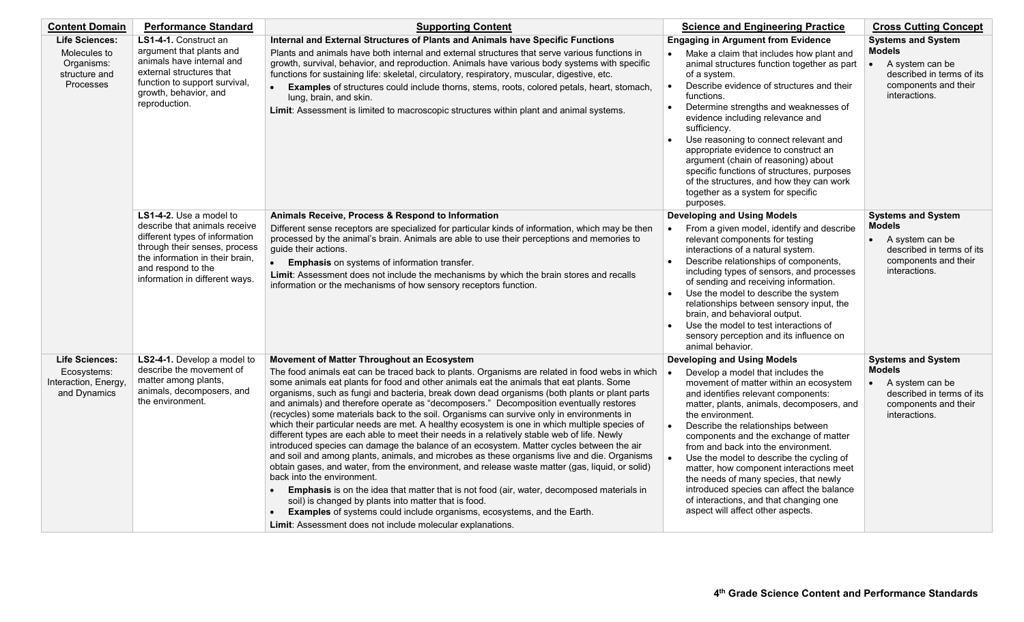| <b>Content Domain</b>                                                             | <b>Performance Standard</b>                                                                                                                                                                                            | <b>Supporting Content</b>                                                                                                                                                                                                                                                                                                                                                                                                                                                                                                                                                                                                                                                                                                                                                                                                                                                                                                                                                                                                                                                                                                                                                                                                                                                                                                                                        | <b>Science and Engineering Practice</b>                                                                                                                                                                                                                                                                                                                                                                                                                                                                                                                                                                                  | <b>Cross Cutting Concept</b>                                                                                                                     |
|-----------------------------------------------------------------------------------|------------------------------------------------------------------------------------------------------------------------------------------------------------------------------------------------------------------------|------------------------------------------------------------------------------------------------------------------------------------------------------------------------------------------------------------------------------------------------------------------------------------------------------------------------------------------------------------------------------------------------------------------------------------------------------------------------------------------------------------------------------------------------------------------------------------------------------------------------------------------------------------------------------------------------------------------------------------------------------------------------------------------------------------------------------------------------------------------------------------------------------------------------------------------------------------------------------------------------------------------------------------------------------------------------------------------------------------------------------------------------------------------------------------------------------------------------------------------------------------------------------------------------------------------------------------------------------------------|--------------------------------------------------------------------------------------------------------------------------------------------------------------------------------------------------------------------------------------------------------------------------------------------------------------------------------------------------------------------------------------------------------------------------------------------------------------------------------------------------------------------------------------------------------------------------------------------------------------------------|--------------------------------------------------------------------------------------------------------------------------------------------------|
| <b>Life Sciences:</b><br>Molecules to<br>Organisms:<br>structure and<br>Processes | LS1-4-1. Construct an<br>argument that plants and<br>animals have internal and<br>external structures that<br>function to support survival,<br>growth, behavior, and<br>reproduction.                                  | Internal and External Structures of Plants and Animals have Specific Functions<br>Plants and animals have both internal and external structures that serve various functions in<br>growth, survival, behavior, and reproduction. Animals have various body systems with specific<br>functions for sustaining life: skeletal, circulatory, respiratory, muscular, digestive, etc.<br>Examples of structures could include thorns, stems, roots, colored petals, heart, stomach,<br>lung, brain, and skin.<br>Limit: Assessment is limited to macroscopic structures within plant and animal systems.                                                                                                                                                                                                                                                                                                                                                                                                                                                                                                                                                                                                                                                                                                                                                              | <b>Engaging in Argument from Evidence</b><br>Make a claim that includes how plant and<br>animal structures function together as part<br>of a system.<br>Describe evidence of structures and their<br>$\bullet$<br>functions.<br>Determine strengths and weaknesses of<br>$\bullet$<br>evidence including relevance and<br>sufficiency.<br>Use reasoning to connect relevant and<br>appropriate evidence to construct an<br>argument (chain of reasoning) about<br>specific functions of structures, purposes<br>of the structures, and how they can work<br>together as a system for specific<br>purposes.               | <b>Systems and System</b><br><b>Models</b><br>A system can be<br>$\bullet$<br>described in terms of its<br>components and their<br>interactions. |
|                                                                                   | LS1-4-2. Use a model to<br>describe that animals receive<br>different types of information<br>through their senses, process<br>the information in their brain,<br>and respond to the<br>information in different ways. | Animals Receive, Process & Respond to Information<br>Different sense receptors are specialized for particular kinds of information, which may be then<br>processed by the animal's brain. Animals are able to use their perceptions and memories to<br>quide their actions.<br>$\bullet$<br><b>Emphasis</b> on systems of information transfer.<br>Limit: Assessment does not include the mechanisms by which the brain stores and recalls<br>information or the mechanisms of how sensory receptors function.                                                                                                                                                                                                                                                                                                                                                                                                                                                                                                                                                                                                                                                                                                                                                                                                                                                   | <b>Developing and Using Models</b><br>From a given model, identify and describe<br>relevant components for testing<br>interactions of a natural system.<br>Describe relationships of components,<br>including types of sensors, and processes<br>of sending and receiving information.<br>Use the model to describe the system<br>relationships between sensory input, the<br>brain, and behavioral output.<br>Use the model to test interactions of<br>sensory perception and its influence on<br>animal behavior.                                                                                                      | <b>Systems and System</b><br><b>Models</b><br>A system can be<br>$\bullet$<br>described in terms of its<br>components and their<br>interactions. |
| <b>Life Sciences:</b><br>Ecosystems:<br>Interaction, Energy,<br>and Dynamics      | LS2-4-1. Develop a model to<br>describe the movement of<br>matter among plants,<br>animals, decomposers, and<br>the environment.                                                                                       | Movement of Matter Throughout an Ecosystem<br>The food animals eat can be traced back to plants. Organisms are related in food webs in which<br>some animals eat plants for food and other animals eat the animals that eat plants. Some<br>organisms, such as fungi and bacteria, break down dead organisms (both plants or plant parts<br>and animals) and therefore operate as "decomposers." Decomposition eventually restores<br>(recycles) some materials back to the soil. Organisms can survive only in environments in<br>which their particular needs are met. A healthy ecosystem is one in which multiple species of<br>different types are each able to meet their needs in a relatively stable web of life. Newly<br>introduced species can damage the balance of an ecosystem. Matter cycles between the air<br>and soil and among plants, animals, and microbes as these organisms live and die. Organisms<br>obtain gases, and water, from the environment, and release waste matter (gas, liquid, or solid)<br>back into the environment.<br>Emphasis is on the idea that matter that is not food (air, water, decomposed materials in<br>soil) is changed by plants into matter that is food.<br><b>Examples</b> of systems could include organisms, ecosystems, and the Earth.<br>Limit: Assessment does not include molecular explanations. | <b>Developing and Using Models</b><br>Develop a model that includes the<br>movement of matter within an ecosystem<br>and identifies relevant components:<br>matter, plants, animals, decomposers, and<br>the environment.<br>Describe the relationships between<br>$\bullet$<br>components and the exchange of matter<br>from and back into the environment.<br>Use the model to describe the cycling of<br>matter, how component interactions meet<br>the needs of many species, that newly<br>introduced species can affect the balance<br>of interactions, and that changing one<br>aspect will affect other aspects. | <b>Systems and System</b><br><b>Models</b><br>A system can be<br>$\bullet$<br>described in terms of its<br>components and their<br>interactions. |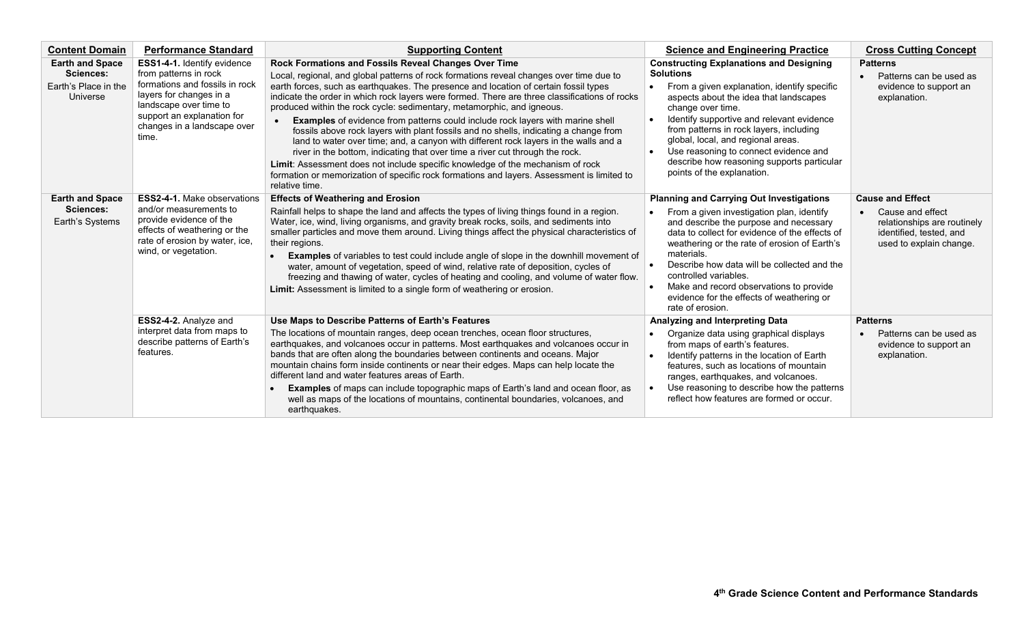| <b>Content Domain</b>                                                   | <b>Performance Standard</b>                                                                                                                                                                                       | <b>Supporting Content</b>                                                                                                                                                                                                                                                                                                                                                                                                                                                                                                                                                                                                                                                                                                                                                                                                                                                                                                                                                     | <b>Science and Engineering Practice</b>                                                                                                                                                                                                                                                                                                                                                                                                                                    | <b>Cross Cutting Concept</b>                                                                                                     |
|-------------------------------------------------------------------------|-------------------------------------------------------------------------------------------------------------------------------------------------------------------------------------------------------------------|-------------------------------------------------------------------------------------------------------------------------------------------------------------------------------------------------------------------------------------------------------------------------------------------------------------------------------------------------------------------------------------------------------------------------------------------------------------------------------------------------------------------------------------------------------------------------------------------------------------------------------------------------------------------------------------------------------------------------------------------------------------------------------------------------------------------------------------------------------------------------------------------------------------------------------------------------------------------------------|----------------------------------------------------------------------------------------------------------------------------------------------------------------------------------------------------------------------------------------------------------------------------------------------------------------------------------------------------------------------------------------------------------------------------------------------------------------------------|----------------------------------------------------------------------------------------------------------------------------------|
| <b>Earth and Space</b><br>Sciences:<br>Earth's Place in the<br>Universe | ESS1-4-1. Identify evidence<br>from patterns in rock<br>formations and fossils in rock<br>layers for changes in a<br>landscape over time to<br>support an explanation for<br>changes in a landscape over<br>time. | Rock Formations and Fossils Reveal Changes Over Time<br>Local, regional, and global patterns of rock formations reveal changes over time due to<br>earth forces, such as earthquakes. The presence and location of certain fossil types<br>indicate the order in which rock layers were formed. There are three classifications of rocks<br>produced within the rock cycle: sedimentary, metamorphic, and igneous.<br><b>Examples</b> of evidence from patterns could include rock layers with marine shell<br>fossils above rock layers with plant fossils and no shells, indicating a change from<br>land to water over time; and, a canyon with different rock layers in the walls and a<br>river in the bottom, indicating that over time a river cut through the rock.<br>Limit: Assessment does not include specific knowledge of the mechanism of rock<br>formation or memorization of specific rock formations and layers. Assessment is limited to<br>relative time. | <b>Constructing Explanations and Designing</b><br><b>Solutions</b><br>From a given explanation, identify specific<br>$\bullet$<br>aspects about the idea that landscapes<br>change over time.<br>Identify supportive and relevant evidence<br>$\bullet$<br>from patterns in rock layers, including<br>global, local, and regional areas.<br>Use reasoning to connect evidence and<br>$\bullet$<br>describe how reasoning supports particular<br>points of the explanation. | <b>Patterns</b><br>Patterns can be used as<br>evidence to support an<br>explanation.                                             |
| <b>Earth and Space</b><br>Sciences:<br>Earth's Systems                  | <b>ESS2-4-1.</b> Make observations<br>and/or measurements to<br>provide evidence of the<br>effects of weathering or the<br>rate of erosion by water, ice,<br>wind, or vegetation.                                 | <b>Effects of Weathering and Erosion</b><br>Rainfall helps to shape the land and affects the types of living things found in a region.<br>Water, ice, wind, living organisms, and gravity break rocks, soils, and sediments into<br>smaller particles and move them around. Living things affect the physical characteristics of<br>their regions.<br><b>Examples</b> of variables to test could include angle of slope in the downhill movement of<br>water, amount of vegetation, speed of wind, relative rate of deposition, cycles of<br>freezing and thawing of water, cycles of heating and cooling, and volume of water flow.<br>Limit: Assessment is limited to a single form of weathering or erosion.                                                                                                                                                                                                                                                               | <b>Planning and Carrying Out Investigations</b><br>From a given investigation plan, identify<br>and describe the purpose and necessary<br>data to collect for evidence of the effects of<br>weathering or the rate of erosion of Earth's<br>materials.<br>Describe how data will be collected and the<br>controlled variables.<br>Make and record observations to provide<br>evidence for the effects of weathering or<br>rate of erosion.                                 | <b>Cause and Effect</b><br>Cause and effect<br>relationships are routinely<br>identified, tested, and<br>used to explain change. |
|                                                                         | ESS2-4-2. Analyze and<br>interpret data from maps to<br>describe patterns of Earth's<br>features.                                                                                                                 | Use Maps to Describe Patterns of Earth's Features<br>The locations of mountain ranges, deep ocean trenches, ocean floor structures,<br>earthquakes, and volcanoes occur in patterns. Most earthquakes and volcanoes occur in<br>bands that are often along the boundaries between continents and oceans. Major<br>mountain chains form inside continents or near their edges. Maps can help locate the<br>different land and water features areas of Earth.<br><b>Examples</b> of maps can include topographic maps of Earth's land and ocean floor, as<br>well as maps of the locations of mountains, continental boundaries, volcanoes, and<br>earthquakes.                                                                                                                                                                                                                                                                                                                 | Analyzing and Interpreting Data<br>Organize data using graphical displays<br>from maps of earth's features.<br>Identify patterns in the location of Earth<br>$\bullet$<br>features, such as locations of mountain<br>ranges, earthquakes, and volcanoes.<br>Use reasoning to describe how the patterns<br>reflect how features are formed or occur.                                                                                                                        | <b>Patterns</b><br>Patterns can be used as<br>evidence to support an<br>explanation.                                             |